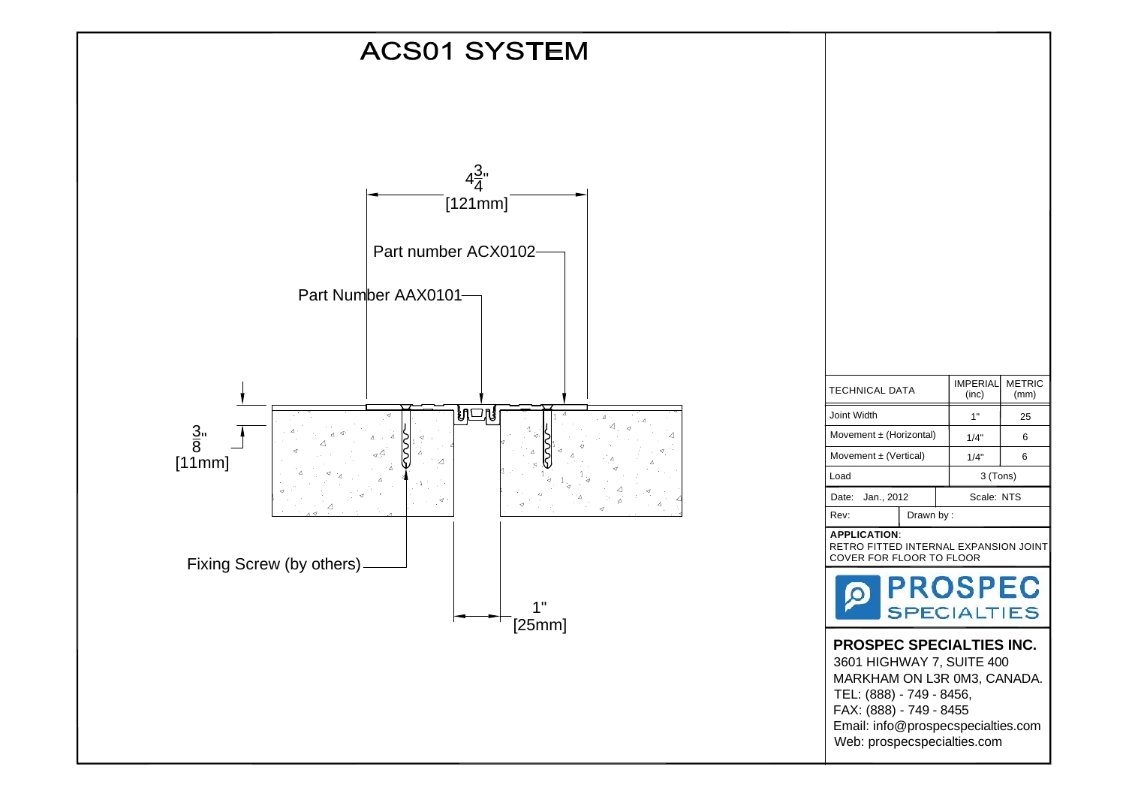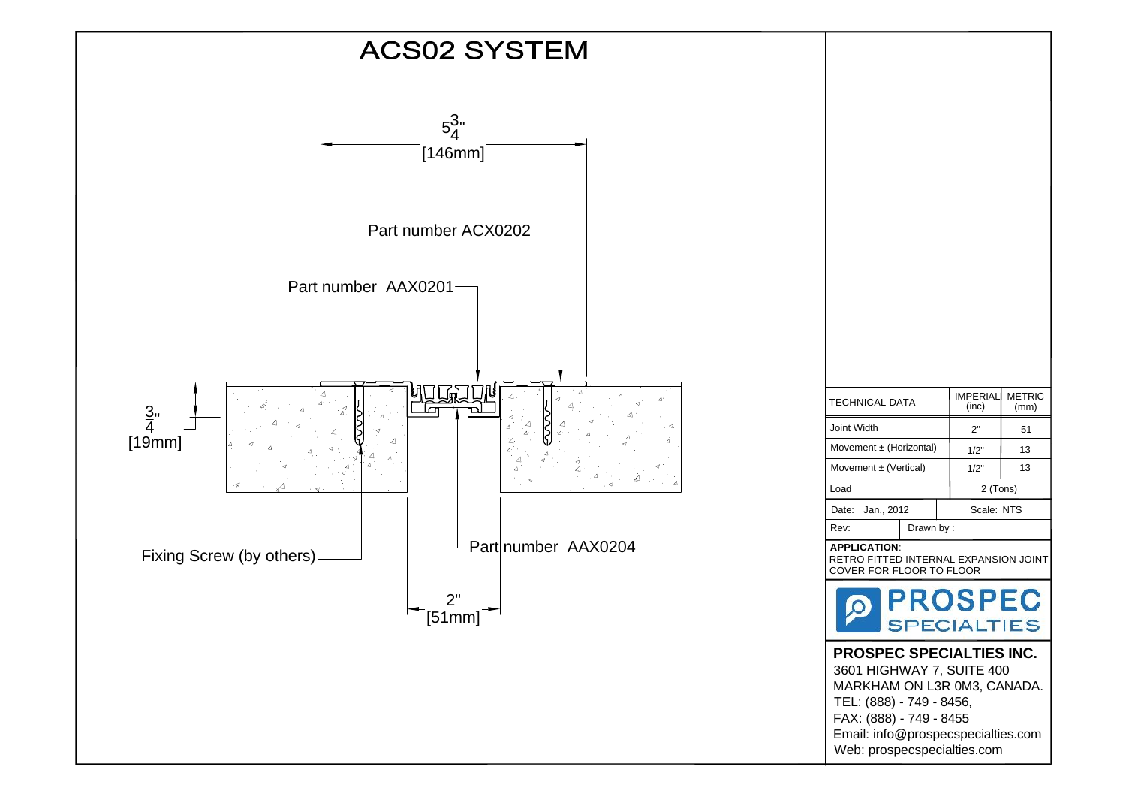